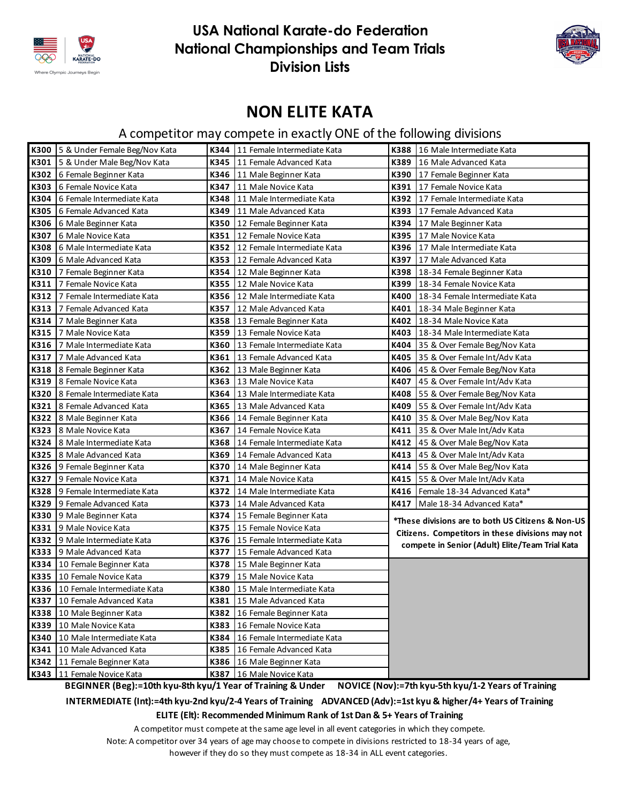



### **NON ELITE KATA**

### A competitor may compete in exactly ONE of the following divisions

|      | K300 5 & Under Female Beg/Nov Kata |      | K344   11 Female Intermediate Kata |      | K388   16 Male Intermediate Kata                  |
|------|------------------------------------|------|------------------------------------|------|---------------------------------------------------|
| K301 | 5 & Under Male Beg/Nov Kata        | K345 | 11 Female Advanced Kata            | K389 | 16 Male Advanced Kata                             |
| K302 | 6 Female Beginner Kata             | K346 | 11 Male Beginner Kata              | K390 | 17 Female Beginner Kata                           |
| K303 | 6 Female Novice Kata               | K347 | 11 Male Novice Kata                | K391 | 17 Female Novice Kata                             |
| K304 | 6 Female Intermediate Kata         | K348 | 11 Male Intermediate Kata          | K392 | 17 Female Intermediate Kata                       |
| K305 | 6 Female Advanced Kata             | K349 | 11 Male Advanced Kata              | K393 | 17 Female Advanced Kata                           |
| K306 | 6 Male Beginner Kata               | K350 | 12 Female Beginner Kata            | K394 | 17 Male Beginner Kata                             |
| K307 | 6 Male Novice Kata                 | K351 | 12 Female Novice Kata              | K395 | 17 Male Novice Kata                               |
| K308 | 6 Male Intermediate Kata           | K352 | 12 Female Intermediate Kata        | K396 | 17 Male Intermediate Kata                         |
| K309 | 6 Male Advanced Kata               | K353 | 12 Female Advanced Kata            | K397 | 17 Male Advanced Kata                             |
| K310 | 7 Female Beginner Kata             | K354 | 12 Male Beginner Kata              | K398 | 18-34 Female Beginner Kata                        |
| K311 | 7 Female Novice Kata               | K355 | 12 Male Novice Kata                | K399 | 18-34 Female Novice Kata                          |
| K312 | 7 Female Intermediate Kata         | K356 | 12 Male Intermediate Kata          | K400 | 18-34 Female Intermediate Kata                    |
| K313 | 7 Female Advanced Kata             | K357 | 12 Male Advanced Kata              | K401 | 18-34 Male Beginner Kata                          |
| K314 | 7 Male Beginner Kata               | K358 | 13 Female Beginner Kata            | K402 | 18-34 Male Novice Kata                            |
| K315 | 7 Male Novice Kata                 | K359 | 13 Female Novice Kata              | K403 | 18-34 Male Intermediate Kata                      |
| K316 | 7 Male Intermediate Kata           | K360 | 13 Female Intermediate Kata        | K404 | 35 & Over Female Beg/Nov Kata                     |
| K317 | 7 Male Advanced Kata               | K361 | 13 Female Advanced Kata            | K405 | 35 & Over Female Int/Adv Kata                     |
| K318 | 8 Female Beginner Kata             | K362 | 13 Male Beginner Kata              | K406 | 45 & Over Female Beg/Nov Kata                     |
| K319 | 8 Female Novice Kata               | K363 | 13 Male Novice Kata                | K407 | 45 & Over Female Int/Adv Kata                     |
| K320 | 8 Female Intermediate Kata         | K364 | 13 Male Intermediate Kata          | K408 | 55 & Over Female Beg/Nov Kata                     |
| K321 | 8 Female Advanced Kata             | K365 | 13 Male Advanced Kata              | K409 | 55 & Over Female Int/Adv Kata                     |
| K322 | 8 Male Beginner Kata               | K366 | 14 Female Beginner Kata            | K410 | 35 & Over Male Beg/Nov Kata                       |
| K323 | 8 Male Novice Kata                 | K367 | 14 Female Novice Kata              | K411 | 35 & Over Male Int/Adv Kata                       |
| K324 | 8 Male Intermediate Kata           | K368 | 14 Female Intermediate Kata        | K412 | 45 & Over Male Beg/Nov Kata                       |
| K325 | 8 Male Advanced Kata               | K369 | 14 Female Advanced Kata            | K413 | 45 & Over Male Int/Adv Kata                       |
|      | K326 9 Female Beginner Kata        | K370 | 14 Male Beginner Kata              | K414 | 55 & Over Male Beg/Nov Kata                       |
| K327 | 9 Female Novice Kata               | K371 | 14 Male Novice Kata                | K415 | 55 & Over Male Int/Adv Kata                       |
| K328 | 9 Female Intermediate Kata         | K372 | 14 Male Intermediate Kata          | K416 | Female 18-34 Advanced Kata*                       |
| K329 | 9 Female Advanced Kata             | K373 | 14 Male Advanced Kata              | K417 | Male 18-34 Advanced Kata*                         |
| K330 | 9 Male Beginner Kata               | K374 | 15 Female Beginner Kata            |      | *These divisions are to both US Citizens & Non-US |
| K331 | 9 Male Novice Kata                 | K375 | 15 Female Novice Kata              |      | Citizens. Competitors in these divisions may not  |
| K332 | 9 Male Intermediate Kata           | K376 | 15 Female Intermediate Kata        |      | compete in Senior (Adult) Elite/Team Trial Kata   |
| K333 | 9 Male Advanced Kata               | K377 | 15 Female Advanced Kata            |      |                                                   |
| K334 | 10 Female Beginner Kata            | K378 | 15 Male Beginner Kata              |      |                                                   |
| K335 | 10 Female Novice Kata              | K379 | 15 Male Novice Kata                |      |                                                   |
| K336 | 10 Female Intermediate Kata        | K380 | 15 Male Intermediate Kata          |      |                                                   |
|      | K337 10 Female Advanced Kata       |      | K381 15 Male Advanced Kata         |      |                                                   |
|      | K338 10 Male Beginner Kata         | K382 | 16 Female Beginner Kata            |      |                                                   |
|      | K339 10 Male Novice Kata           | K383 | 16 Female Novice Kata              |      |                                                   |
|      | K340   10 Male Intermediate Kata   | K384 | 16 Female Intermediate Kata        |      |                                                   |
| K341 | 10 Male Advanced Kata              | K385 | 16 Female Advanced Kata            |      |                                                   |
|      | K342   11 Female Beginner Kata     | K386 | 16 Male Beginner Kata              |      |                                                   |
|      | K343 11 Female Novice Kata         |      | K387 16 Male Novice Kata           |      |                                                   |

 **BEGINNER (Beg):=10th kyu-8th kyu/1 Year of Training & Under NOVICE (Nov):=7th kyu-5th kyu/1-2 Years of Training**

**INTERMEDIATE (Int):=4th kyu-2nd kyu/2-4 Years of Training ADVANCED (Adv):=1st kyu & higher/4+ Years of Training**

**ELITE (Elt): Recommended Minimum Rank of 1st Dan & 5+ Years of Training**

A competitor must compete at the same age level in all event categories in which they compete.

Note: A competitor over 34 years of age may choose to compete in divisions restricted to 18-34 years of age,

however if they do so they must compete as 18-34 in ALL event categories.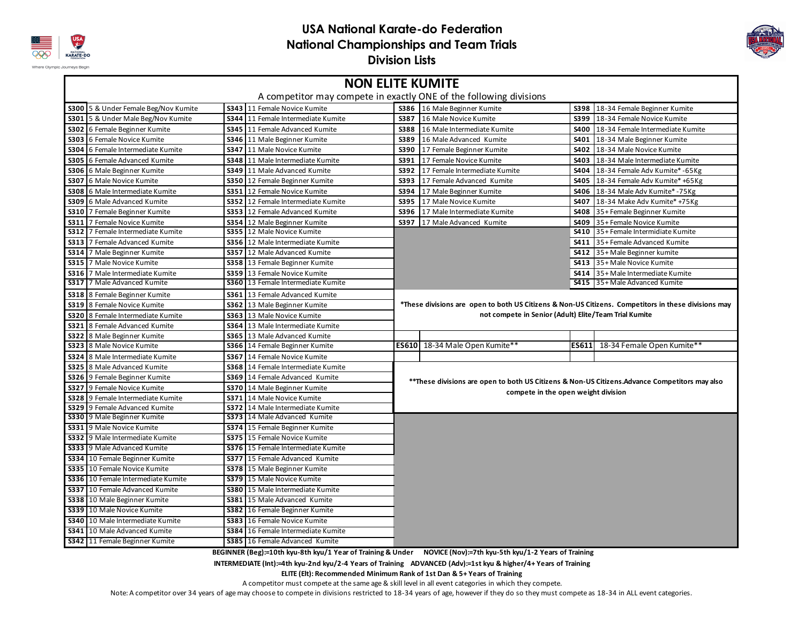



| <b>NON ELITE KUMITE</b><br>A competitor may compete in exactly ONE of the following divisions |             |                                     |                                                                                                     |                                     |       |                                                                                               |  |  |
|-----------------------------------------------------------------------------------------------|-------------|-------------------------------------|-----------------------------------------------------------------------------------------------------|-------------------------------------|-------|-----------------------------------------------------------------------------------------------|--|--|
| S300 5 & Under Female Beg/Nov Kumite                                                          |             | <b>S343</b> 11 Female Novice Kumite |                                                                                                     | S386 16 Male Beginner Kumite        |       | S398 18-34 Female Beginner Kumite                                                             |  |  |
| S301<br>5 & Under Male Beg/Nov Kumite                                                         |             | S344 11 Female Intermediate Kumite  | S387                                                                                                | 16 Male Novice Kumite               | S399  | 18-34 Female Novice Kumite                                                                    |  |  |
| S302 6 Female Beginner Kumite                                                                 |             | S345 11 Female Advanced Kumite      | <b>S388</b>                                                                                         | 16 Male Intermediate Kumite         |       | S400 18-34 Female Intermediate Kumite                                                         |  |  |
| 6 Female Novice Kumite<br>S303                                                                |             | S346 11 Male Beginner Kumite        | S389                                                                                                | 16 Male Advanced Kumite             | S401  | 18-34 Male Beginner Kumite                                                                    |  |  |
| 6 Female Intermediate Kumite<br><b>S304</b>                                                   |             | <b>S347</b> 11 Male Novice Kumite   | <b>S390</b>                                                                                         | 17 Female Beginner Kumite           | S402  | 18-34 Male Novice Kumite                                                                      |  |  |
| 6 Female Advanced Kumite<br><b>S305</b>                                                       |             | S348 11 Male Intermediate Kumite    | S391                                                                                                | 17 Female Novice Kumite             | S403  | 18-34 Male Intermediate Kumite                                                                |  |  |
| S306<br>6 Male Beginner Kumite                                                                |             | S349 11 Male Advanced Kumite        | S392                                                                                                | 17 Female Intermediate Kumite       | S404  | 18-34 Female Adv Kumite* - 65Kg                                                               |  |  |
| S307<br>6 Male Novice Kumite                                                                  |             | S350 12 Female Beginner Kumite      | S393                                                                                                | 17 Female Advanced Kumite           | S405  | 18-34 Female Adv Kumite* +65Kg                                                                |  |  |
| 6 Male Intermediate Kumite<br><b>S308</b>                                                     |             | S351 12 Female Novice Kumite        | S394                                                                                                | 17 Male Beginner Kumite             | S406  | 18-34 Male Adv Kumite* -75Kg                                                                  |  |  |
| S309<br>6 Male Advanced Kumite                                                                |             | S352 12 Female Intermediate Kumite  | S395                                                                                                | 17 Male Novice Kumite               | S407  | 18-34 Make Adv Kumite* +75Kg                                                                  |  |  |
| S310<br>7 Female Beginner Kumite                                                              |             | S353 12 Female Advanced Kumite      | S396                                                                                                | 17 Male Intermediate Kumite         | S408  | 35+ Female Beginner Kumite                                                                    |  |  |
| <b>S311</b><br>7 Female Novice Kumite                                                         |             | S354 12 Male Beginner Kumite        | S397                                                                                                | 17 Male Advanced Kumite             | S409  | 35+ Female Novice Kumite                                                                      |  |  |
| S312<br>7 Female Intermediate Kumite                                                          |             | <b>S355</b> 12 Male Novice Kumite   |                                                                                                     |                                     | S410  | 35+ Female Intermidiate Kumite                                                                |  |  |
| <b>S313</b><br>7 Female Advanced Kumite                                                       |             | S356 12 Male Intermediate Kumite    |                                                                                                     |                                     | S411  | 35+ Female Advanced Kumite                                                                    |  |  |
| S314<br>7 Male Beginner Kumite                                                                | S357        | 12 Male Advanced Kumite             |                                                                                                     |                                     | S412  | 35+ Male Beginner kumite                                                                      |  |  |
| S315<br>7 Male Novice Kumite                                                                  |             | S358 13 Female Beginner Kumite      |                                                                                                     |                                     | S413  | 35+ Male Novice Kumite                                                                        |  |  |
| S316<br>7 Male Intermediate Kumite                                                            |             | <b>S359</b> 13 Female Novice Kumite |                                                                                                     | 35+ Male Intermediate Kumite        |       |                                                                                               |  |  |
| 7 Male Advanced Kumite<br><b>S317</b>                                                         |             | S360 13 Female Intermediate Kumite  |                                                                                                     |                                     |       | <b>S415</b> 35+ Male Advanced Kumite                                                          |  |  |
| S318 8 Female Beginner Kumite                                                                 |             | S361 13 Female Advanced Kumite      |                                                                                                     |                                     |       |                                                                                               |  |  |
| <b>S319</b> 8 Female Novice Kumite                                                            |             | S362 13 Male Beginner Kumite        | *These divisions are open to both US Citizens & Non-US Citizens. Competitors in these divisions may |                                     |       |                                                                                               |  |  |
| S320 8 Female Intermediate Kumite                                                             |             | <b>S363</b> 13 Male Novice Kumite   | not compete in Senior (Adult) Elite/Team Trial Kumite                                               |                                     |       |                                                                                               |  |  |
| S321<br>8 Female Advanced Kumite                                                              |             | S364 13 Male Intermediate Kumite    |                                                                                                     |                                     |       |                                                                                               |  |  |
| <b>S322</b><br>8 Male Beginner Kumite                                                         |             | S365 13 Male Advanced Kumite        |                                                                                                     |                                     |       |                                                                                               |  |  |
| <b>S323</b> 8 Male Novice Kumite                                                              |             | S366 14 Female Beginner Kumite      |                                                                                                     | ES610 18-34 Male Open Kumite**      | ES611 | 18-34 Female Open Kumite**                                                                    |  |  |
| <b>S324</b><br>8 Male Intermediate Kumite                                                     |             | <b>S367</b> 14 Female Novice Kumite |                                                                                                     |                                     |       |                                                                                               |  |  |
| S325 8 Male Advanced Kumite                                                                   |             | S368 14 Female Intermediate Kumite  |                                                                                                     |                                     |       |                                                                                               |  |  |
| S326 9 Female Beginner Kumite                                                                 |             | S369 14 Female Advanced Kumite      |                                                                                                     |                                     |       | **These divisions are open to both US Citizens & Non-US Citizens.Advance Competitors may also |  |  |
| <b>S327</b><br>9 Female Novice Kumite                                                         |             | S370 14 Male Beginner Kumite        |                                                                                                     | compete in the open weight division |       |                                                                                               |  |  |
| <b>S328</b><br>9 Female Intermediate Kumite                                                   |             | <b>S371</b> 14 Male Novice Kumite   |                                                                                                     |                                     |       |                                                                                               |  |  |
| S329<br>9 Female Advanced Kumite                                                              |             | S372 14 Male Intermediate Kumite    |                                                                                                     |                                     |       |                                                                                               |  |  |
| S330 9 Male Beginner Kumite                                                                   |             | S373 14 Male Advanced Kumite        |                                                                                                     |                                     |       |                                                                                               |  |  |
| 9 Male Novice Kumite<br><b>S331</b>                                                           |             | S374 15 Female Beginner Kumite      |                                                                                                     |                                     |       |                                                                                               |  |  |
| <b>S332</b><br>9 Male Intermediate Kumite                                                     |             | <b>S375</b> 15 Female Novice Kumite |                                                                                                     |                                     |       |                                                                                               |  |  |
| S333 9 Male Advanced Kumite                                                                   |             | S376 15 Female Intermediate Kumite  |                                                                                                     |                                     |       |                                                                                               |  |  |
| S334<br>10 Female Beginner Kumite                                                             |             | S377 15 Female Advanced Kumite      |                                                                                                     |                                     |       |                                                                                               |  |  |
| <b>S335</b><br>10 Female Novice Kumite                                                        |             | S378 15 Male Beginner Kumite        |                                                                                                     |                                     |       |                                                                                               |  |  |
| S336<br>10 Female Intermediate Kumite                                                         |             | <b>S379</b> 15 Male Novice Kumite   |                                                                                                     |                                     |       |                                                                                               |  |  |
| <b>S337</b><br>10 Female Advanced Kumite                                                      |             | S380 15 Male Intermediate Kumite    |                                                                                                     |                                     |       |                                                                                               |  |  |
| S338<br>10 Male Beginner Kumite                                                               |             | S381 15 Male Advanced Kumite        |                                                                                                     |                                     |       |                                                                                               |  |  |
| <b>S339</b><br>10 Male Novice Kumite                                                          | <b>S382</b> | 16 Female Beginner Kumite           |                                                                                                     |                                     |       |                                                                                               |  |  |
| S340<br>10 Male Intermediate Kumite                                                           | S383        | 16 Female Novice Kumite             |                                                                                                     |                                     |       |                                                                                               |  |  |
| 10 Male Advanced Kumite<br>S341                                                               |             | S384 16 Female Intermediate Kumite  |                                                                                                     |                                     |       |                                                                                               |  |  |
| S342 11 Female Beginner Kumite                                                                |             | S385 16 Female Advanced Kumite      |                                                                                                     |                                     |       |                                                                                               |  |  |

 **BEGINNER (Beg):=10th kyu-8th kyu/1 Year of Training & Under NOVICE (Nov):=7th kyu-5th kyu/1-2 Years of Training**

#### **INTERMEDIATE (Int):=4th kyu-2nd kyu/2-4 Years of Training ADVANCED (Adv):=1st kyu & higher/4+ Years of Training**

**ELITE (Elt): Recommended Minimum Rank of 1st Dan & 5+ Years of Training**

A competitor must compete at the same age & skill level in all event categories in which they compete.

Note: A competitor over 34 years of age may choose to compete in divisions restricted to 18-34 years of age, however if they do so they must compete as 18-34 in ALL event categories.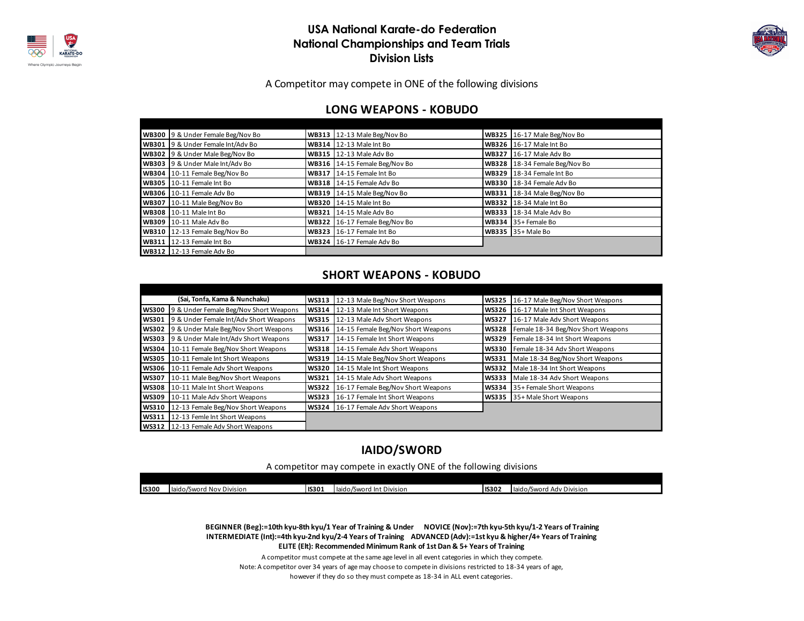



A Competitor may compete in ONE of the following divisions

#### **LONG WEAPONS - KOBUDO**

| WB300 9 & Under Female Beg/Nov Bo | WB313 12-13 Male Beg/Nov Bo    | WB325 16-17 Male Beg/Nov Bo    |
|-----------------------------------|--------------------------------|--------------------------------|
| WB301 9 & Under Female Int/Adv Bo | WB314 $12-13$ Male Int Bo      | <b>WB326</b> 16-17 Male Int Bo |
| WB302 9 & Under Male Beg/Nov Bo   | <b>WB315</b> 12-13 Male Adv Bo | WB327 16-17 Male Adv Bo        |
| WB303 9 & Under Male Int/Adv Bo   | WB316 14-15 Female Beg/Nov Bo  | WB328 18-34 Female Beg/Nov Bo  |
| WB304 10-11 Female Beg/Nov Bo     | WB317 14-15 Female Int Bo      | WB329 18-34 Female Int Bo      |
| WB305 10-11 Female Int Bo         | WB318 14-15 Female Adv Bo      | WB330 18-34 Female Adv Bo      |
| WB306 10-11 Female Adv Bo         | WB319 14-15 Male Beg/Nov Bo    | WB331 18-34 Male Beg/Nov Bo    |
| WB307 10-11 Male Beg/Nov Bo       | <b>WB320</b> 14-15 Male Int Bo | <b>WB332</b> 18-34 Male Int Bo |
| <b>WB308</b> 10-11 Male Int Bo    | <b>WB321 14-15 Male Adv Bo</b> | <b>WB333 18-34 Male Adv Bo</b> |
| WB309 10-11 Male Adv Bo           | WB322 16-17 Female Beg/Nov Bo  | WB334 $35+$ Female Bo          |
| WB310 12-13 Female Beg/Nov Bo     | WB323 16-17 Female Int Bo      | <b>WB335</b> 35+ Male Bo       |
| WB311 12-13 Female Int Bo         | WB324 16-17 Female Adv Bo      |                                |
| WB312 12-13 Female Adv Bo         |                                |                                |

#### **SHORT WEAPONS - KOBUDO**

|              | (Sai, Tonfa, Kama & Nunchaku)              |              | WS313 12-13 Male Beg/Nov Short Weapons | <b>WS325</b> | 16-17 Male Beg/Nov Short Weapons   |
|--------------|--------------------------------------------|--------------|----------------------------------------|--------------|------------------------------------|
| <b>WS300</b> | 9 & Under Female Beg/Nov Short Weapons     | <b>WS314</b> | 12-13 Male Int Short Weapons           | <b>WS326</b> | 16-17 Male Int Short Weapons       |
| <b>WS301</b> | 9 & Under Female Int/Adv Short Weapons     | WS315        | 12-13 Male Adv Short Weapons           | <b>WS327</b> | 16-17 Male Adv Short Weapons       |
|              | WS302 9 & Under Male Beg/Nov Short Weapons | WS316        | 14-15 Female Beg/Nov Short Weapons     | <b>WS328</b> | Female 18-34 Beg/Nov Short Weapons |
| <b>WS303</b> | 9 & Under Male Int/Adv Short Weapons       | <b>WS317</b> | 14-15 Female Int Short Weapons         | <b>WS329</b> | Female 18-34 Int Short Weapons     |
| <b>WS304</b> | 10-11 Female Beg/Nov Short Weapons         | <b>WS318</b> | 14-15 Female Adv Short Weapons         | <b>WS330</b> | Female 18-34 Adv Short Weapons     |
| <b>WS305</b> | 10-11 Female Int Short Weapons             | <b>WS319</b> | 14-15 Male Beg/Nov Short Weapons       | <b>WS331</b> | Male 18-34 Beg/Nov Short Weapons   |
| <b>WS306</b> | 10-11 Female Adv Short Weapons             | <b>WS320</b> | 14-15 Male Int Short Weapons           | <b>WS332</b> | Male 18-34 Int Short Weapons       |
| <b>WS307</b> | 10-11 Male Beg/Nov Short Weapons           | <b>WS321</b> | 14-15 Male Adv Short Weapons           | <b>WS333</b> | Male 18-34 Adv Short Weapons       |
| <b>WS308</b> | 10-11 Male Int Short Weapons               | <b>WS322</b> | 16-17 Female Beg/Nov Short Weapons     |              | WS334 35+ Female Short Weapons     |
| <b>WS309</b> | 10-11 Male Adv Short Weapons               | WS323 I      | 16-17 Female Int Short Weapons         |              | WS335 35+ Male Short Weapons       |
| <b>WS310</b> | 12-13 Female Beg/Nov Short Weapons         |              | WS324 16-17 Female Adv Short Weapons   |              |                                    |
| <b>WS311</b> | 12-13 Femle Int Short Weapons              |              |                                        |              |                                    |
|              | WS312 12-13 Female Adv Short Weapons       |              |                                        |              |                                    |

### **IAIDO/SWORD**

A competitor may compete in exactly ONE of the following divisions

| <b>IS300</b> | $\sim$<br>l Nov Division<br>laido/Sword | <b>IIS301</b> | laido/Sword Int Division<br>10.48 | <b>IS302</b> | $\overline{\phantom{0}}$<br>. laido/Sword<br>Adv<br><sup>,</sup> Division |
|--------------|-----------------------------------------|---------------|-----------------------------------|--------------|---------------------------------------------------------------------------|

 **BEGINNER (Beg):=10th kyu-8th kyu/1 Year of Training & Under NOVICE (Nov):=7th kyu-5th kyu/1-2 Years of Training INTERMEDIATE (Int):=4th kyu-2nd kyu/2-4 Years of Training ADVANCED (Adv):=1st kyu & higher/4+ Years of Training ELITE (Elt): Recommended Minimum Rank of 1st Dan & 5+ Years of Training**

however if they do so they must compete as 18-34 in ALL event categories. A competitor must compete at the same age level in all event categories in which they compete. Note: A competitor over 34 years of age may choose to compete in divisions restricted to 18-34 years of age,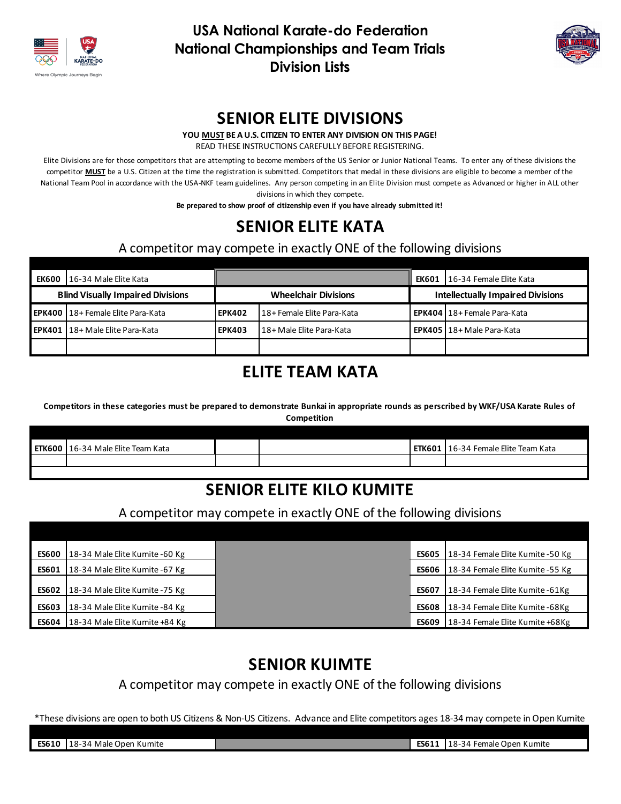



### **SENIOR ELITE DIVISIONS**

**YOU MUST BE A U.S. CITIZEN TO ENTER ANY DIVISION ON THIS PAGE!**

READ THESE INSTRUCTIONS CAREFULLY BEFORE REGISTERING.

Elite Divisions are for those competitors that are attempting to become members of the US Senior or Junior National Teams. To enter any of these divisions the competitor **MUST** be a U.S. Citizen at the time the registration is submitted. Competitors that medal in these divisions are eligible to become a member of the National Team Pool in accordance with the USA-NKF team guidelines. Any person competing in an Elite Division must compete as Advanced or higher in ALL other divisions in which they compete.

**Be prepared to show proof of citizenship even if you have already submitted it!**

## **SENIOR ELITE KATA**

A competitor may compete in exactly ONE of the following divisions

| <b>EK600</b>                             | l 16-34 Male Elite Kata                    |                             |                            | <b>EK601</b> | 16-34 Female Elite Kata                  |  |  |
|------------------------------------------|--------------------------------------------|-----------------------------|----------------------------|--------------|------------------------------------------|--|--|
| <b>Blind Visually Impaired Divisions</b> |                                            | <b>Wheelchair Divisions</b> |                            |              | <b>Intellectually Impaired Divisions</b> |  |  |
|                                          | <b>EPK400   18+ Female Elite Para-Kata</b> | <b>EPK402</b>               | 18+ Female Elite Para-Kata |              | <b>EPK404   18+ Female Para-Kata</b>     |  |  |
|                                          | <b>EPK401   18+ Male Elite Para-Kata</b>   | <b>EPK403</b>               | 18+ Male Elite Para-Kata   |              | <b>EPK405 18+ Male Para-Kata</b>         |  |  |
|                                          |                                            |                             |                            |              |                                          |  |  |

## **ELITE TEAM KATA**

**Competitors in these categories must be prepared to demonstrate Bunkai in appropriate rounds as perscribed by WKF/USA Karate Rules of Competition**

| <b>ETK600</b> | 16-34 Male Elite Team Kata |  | <b>ETK601</b> | 16-34 Female Elite Team Kata |
|---------------|----------------------------|--|---------------|------------------------------|
|               |                            |  |               |                              |
|               |                            |  |               |                              |

## **SENIOR ELITE KILO KUMITE**

### A competitor may compete in exactly ONE of the following divisions

| <b>ES600</b> | 18-34 Male Elite Kumite -60 Kg  |              | ES605   18-34 Female Elite Kumite - 50 Kg |
|--------------|---------------------------------|--------------|-------------------------------------------|
| <b>ES601</b> | 18-34 Male Elite Kumite - 67 Kg |              | ES606 18-34 Female Elite Kumite -55 Kg    |
| <b>ES602</b> | 18-34 Male Elite Kumite -75 Kg  | <b>ES607</b> | 18-34 Female Elite Kumite - 61 Kg         |
| <b>ES603</b> | 18-34 Male Elite Kumite - 84 Kg | <b>ES608</b> | 18-34 Female Elite Kumite - 68 Kg         |
| ES604        | 18-34 Male Elite Kumite +84 Kg  | <b>ES609</b> | 18-34 Female Elite Kumite +68Kg           |

## **SENIOR KUIMTE**

A competitor may compete in exactly ONE of the following divisions

\*These divisions are open to both US Citizens & Non-US Citizens. Advance and Elite competitors ages 18-34 may compete in Open Kumite

**ES610** 18-34 Male Open Kumite **ES611** 18-34 Female Open Kumite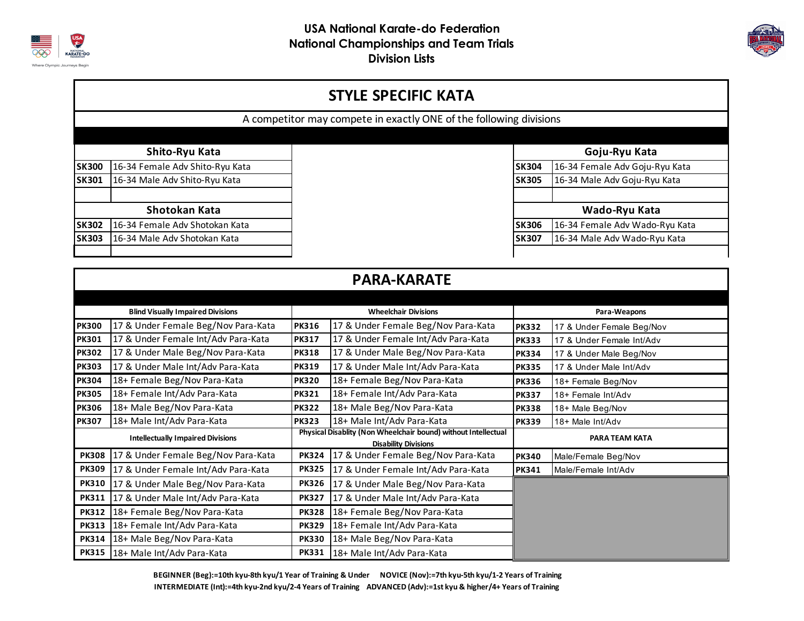



### **STYLE SPECIFIC KATA**

A competitor may compete in exactly ONE of the following divisions

### **Shito-Ryu Kata**

| <b>SK300</b>  | 16-34 Female Adv Shito-Ryu Kata | <b>ISK304</b> | 16-34 Female Adv Goju-Ryu Kata |
|---------------|---------------------------------|---------------|--------------------------------|
| <b>SK301</b>  | 16-34 Male Adv Shito-Ryu Kata   | <b>SK305</b>  | 16-34 Male Adv Goju-Ryu Kata   |
|               |                                 |               |                                |
| Shotokan Kata |                                 |               | Wado-Ryu Kata                  |
| <b>SK302</b>  | 16-34 Female Adv Shotokan Kata  | <b>ISK306</b> | 16-34 Female Adv Wado-Ryu Kata |
| <b>SK303</b>  | 16-34 Male Adv Shotokan Kata    | <b>ISK307</b> | 16-34 Male Adv Wado-Ryu Kata   |
|               |                                 |               |                                |

### **Goju-Ryu Kata**

| emale Adv Shito-Ryu Kata | <b>SK304</b> | 16-34 Female Adv Goju-Ryu Kata |
|--------------------------|--------------|--------------------------------|
| ale Adv Shito-Ryu Kata   | <b>SK305</b> | 16-34 Male Adv Goju-Ryu Kata   |
|                          |              |                                |
| Shotokan Kata            |              | Wado-Ryu Kata                  |
| emale Adv Shotokan Kata  | <b>SK306</b> | 16-34 Female Adv Wado-Ryu Kata |
| ale Adv Shotokan Kata    | <b>SK307</b> | 16-34 Male Adv Wado-Ryu Kata   |
|                          |              |                                |

|              | <b>PARA-KARATE</b>                       |                                                                                               |                                     |                       |                           |  |  |  |  |
|--------------|------------------------------------------|-----------------------------------------------------------------------------------------------|-------------------------------------|-----------------------|---------------------------|--|--|--|--|
|              |                                          |                                                                                               |                                     |                       |                           |  |  |  |  |
|              | <b>Blind Visually Impaired Divisions</b> | <b>Wheelchair Divisions</b>                                                                   |                                     | Para-Weapons          |                           |  |  |  |  |
| <b>PK300</b> | 17 & Under Female Beg/Nov Para-Kata      | <b>PK316</b>                                                                                  | 17 & Under Female Beg/Nov Para-Kata | <b>PK332</b>          | 17 & Under Female Beg/Nov |  |  |  |  |
| <b>PK301</b> | 17 & Under Female Int/Adv Para-Kata      | <b>PK317</b>                                                                                  | 17 & Under Female Int/Adv Para-Kata | <b>PK333</b>          | 17 & Under Female Int/Adv |  |  |  |  |
| <b>PK302</b> | 17 & Under Male Beg/Nov Para-Kata        | <b>PK318</b>                                                                                  | 17 & Under Male Beg/Nov Para-Kata   | <b>PK334</b>          | 17 & Under Male Beg/Nov   |  |  |  |  |
| <b>PK303</b> | 17 & Under Male Int/Adv Para-Kata        | <b>PK319</b>                                                                                  | 17 & Under Male Int/Adv Para-Kata   | <b>PK335</b>          | 17 & Under Male Int/Adv   |  |  |  |  |
| <b>PK304</b> | 18+ Female Beg/Nov Para-Kata             | <b>PK320</b>                                                                                  | 18+ Female Beg/Nov Para-Kata        | <b>PK336</b>          | 18+ Female Beg/Nov        |  |  |  |  |
| <b>PK305</b> | 18+ Female Int/Adv Para-Kata             | <b>PK321</b>                                                                                  | 18+ Female Int/Adv Para-Kata        | <b>PK337</b>          | 18+ Female Int/Adv        |  |  |  |  |
| <b>PK306</b> | 18+ Male Beg/Nov Para-Kata               | <b>PK322</b>                                                                                  | 18+ Male Beg/Nov Para-Kata          | <b>PK338</b>          | 18+ Male Beg/Nov          |  |  |  |  |
| <b>PK307</b> | 18+ Male Int/Adv Para-Kata               | <b>PK323</b>                                                                                  | 18+ Male Int/Adv Para-Kata          | <b>PK339</b>          | 18+ Male Int/Adv          |  |  |  |  |
|              | <b>Intellectually Impaired Divisions</b> | Physical Disablity (Non Wheelchair bound) without Intellectual<br><b>Disability Divisions</b> |                                     | <b>PARA TEAM KATA</b> |                           |  |  |  |  |
| <b>PK308</b> | 17 & Under Female Beg/Nov Para-Kata      | <b>PK324</b>                                                                                  | 17 & Under Female Beg/Nov Para-Kata | <b>PK340</b>          | Male/Female Beg/Nov       |  |  |  |  |
| <b>PK309</b> | 17 & Under Female Int/Adv Para-Kata      | <b>PK325</b>                                                                                  | 17 & Under Female Int/Adv Para-Kata | <b>PK341</b>          | Male/Female Int/Adv       |  |  |  |  |
| <b>PK310</b> | 17 & Under Male Beg/Nov Para-Kata        | <b>PK326</b>                                                                                  | 17 & Under Male Beg/Nov Para-Kata   |                       |                           |  |  |  |  |
| <b>PK311</b> | 17 & Under Male Int/Adv Para-Kata        | <b>PK327</b>                                                                                  | 17 & Under Male Int/Adv Para-Kata   |                       |                           |  |  |  |  |
| <b>PK312</b> | 18+ Female Beg/Nov Para-Kata             | <b>PK328</b>                                                                                  | 18+ Female Beg/Nov Para-Kata        |                       |                           |  |  |  |  |
| <b>PK313</b> | 18+ Female Int/Adv Para-Kata             | <b>PK329</b>                                                                                  | 18+ Female Int/Adv Para-Kata        |                       |                           |  |  |  |  |
| <b>PK314</b> | 18+ Male Beg/Nov Para-Kata               | <b>PK330</b>                                                                                  | 18+ Male Beg/Nov Para-Kata          |                       |                           |  |  |  |  |
|              | PK315   18+ Male Int/Adv Para-Kata       | <b>PK331</b>                                                                                  | 18+ Male Int/Adv Para-Kata          |                       |                           |  |  |  |  |

 **BEGINNER (Beg):=10th kyu-8th kyu/1 Year of Training & Under NOVICE (Nov):=7th kyu-5th kyu/1-2 Years of Training INTERMEDIATE (Int):=4th kyu-2nd kyu/2-4 Years of Training ADVANCED (Adv):=1st kyu & higher/4+ Years of Training**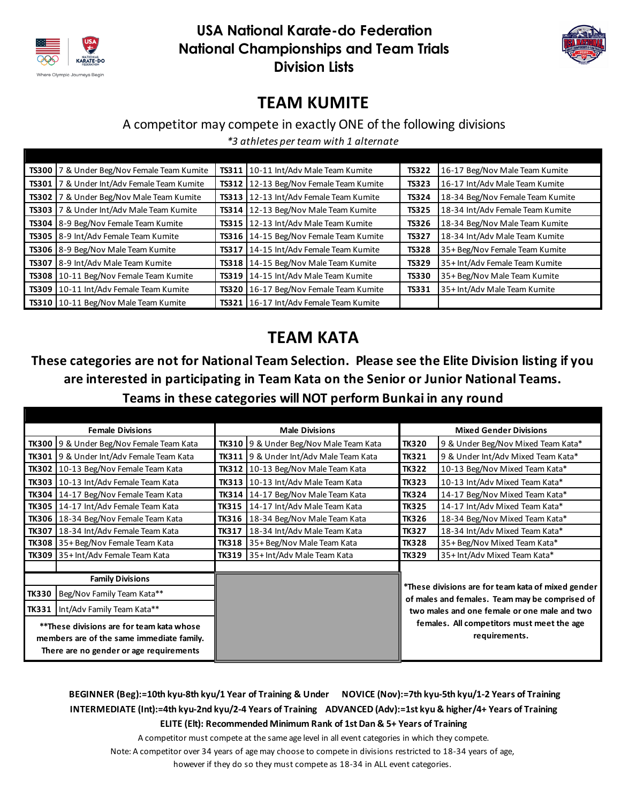



## **TEAM KUMITE**

### A competitor may compete in exactly ONE of the following divisions

*\*3 athletes per team with 1 alternate*

|       | TS300 7 & Under Beg/Nov Female Team Kumite | <b>TS311</b> | 10-11 Int/Adv Male Team Kumite         | <b>TS322</b> | 16-17 Beg/Nov Male Team Kumite   |
|-------|--------------------------------------------|--------------|----------------------------------------|--------------|----------------------------------|
| TS301 | 7 & Under Int/Adv Female Team Kumite       | TS312        | 12-13 Beg/Nov Female Team Kumite       | <b>TS323</b> | 16-17 Int/Adv Male Team Kumite   |
|       | TS302 7 & Under Beg/Nov Male Team Kumite   | TS313        | 12-13 Int/Adv Female Team Kumite       | <b>TS324</b> | 18-34 Beg/Nov Female Team Kumite |
|       | TS303 7 & Under Int/Adv Male Team Kumite   | TS314        | 12-13 Beg/Nov Male Team Kumite         | <b>TS325</b> | 18-34 Int/Adv Female Team Kumite |
|       | TS304 8-9 Beg/Nov Female Team Kumite       | TS315        | 12-13 Int/Adv Male Team Kumite         | <b>TS326</b> | 18-34 Beg/Nov Male Team Kumite   |
|       | TS305 8-9 Int/Adv Female Team Kumite       | TS316        | 14-15 Beg/Nov Female Team Kumite       | TS327        | 18-34 Int/Adv Male Team Kumite   |
|       | TS306 8-9 Beg/Nov Male Team Kumite         | TS317        | 14-15 Int/Adv Female Team Kumite       | <b>TS328</b> | 35+ Beg/Nov Female Team Kumite   |
|       | TS307 8-9 Int/Adv Male Team Kumite         | <b>TS318</b> | 14-15 Beg/Nov Male Team Kumite         | <b>TS329</b> | 35+ Int/Adv Female Team Kumite   |
|       | TS308   10-11 Beg/Nov Female Team Kumite   | TS319        | 14-15 Int/Adv Male Team Kumite         | <b>TS330</b> | 35+ Beg/Nov Male Team Kumite     |
|       | TS309 10-11 Int/Adv Female Team Kumite     | TS320        | 16-17 Beg/Nov Female Team Kumite       | <b>TS331</b> | 35+ Int/Adv Male Team Kumite     |
|       | TS310 10-11 Beg/Nov Male Team Kumite       |              | TS321 16-17 Int/Adv Female Team Kumite |              |                                  |

## **TEAM KATA**

## **These categories are not for National Team Selection. Please see the Elite Division listing if you are interested in participating in Team Kata on the Senior or Junior National Teams. Teams in these categories will NOT perform Bunkai in any round**

| <b>Female Divisions</b>                                                                                                           |                                                 | <b>Male Divisions</b> |                                               | <b>Mixed Gender Divisions</b>                                                                                                                        |                                                             |  |
|-----------------------------------------------------------------------------------------------------------------------------------|-------------------------------------------------|-----------------------|-----------------------------------------------|------------------------------------------------------------------------------------------------------------------------------------------------------|-------------------------------------------------------------|--|
|                                                                                                                                   | <b>TK300</b> 9 & Under Beg/Nov Female Team Kata |                       | <b>TK310</b> 9 & Under Beg/Nov Male Team Kata | <b>TK320</b>                                                                                                                                         | 9 & Under Beg/Nov Mixed Team Kata*                          |  |
|                                                                                                                                   | <b>TK301</b> 9 & Under Int/Adv Female Team Kata | <b>TK311</b>          | 9 & Under Int/Adv Male Team Kata              | <b>TK321</b>                                                                                                                                         | 9 & Under Int/Adv Mixed Team Kata*                          |  |
|                                                                                                                                   | TK302   10-13 Beg/Nov Female Team Kata          |                       | TK312   10-13 Beg/Nov Male Team Kata          | <b>TK322</b>                                                                                                                                         | 10-13 Beg/Nov Mixed Team Kata*                              |  |
|                                                                                                                                   | TK303   10-13 Int/Adv Female Team Kata          |                       | <b>TK313</b> 10-13 Int/Adv Male Team Kata     | <b>TK323</b>                                                                                                                                         | 10-13 Int/Adv Mixed Team Kata*                              |  |
|                                                                                                                                   | TK304   14-17 Beg/Nov Female Team Kata          | TK314                 | 14-17 Beg/Nov Male Team Kata                  | <b>TK324</b>                                                                                                                                         | 14-17 Beg/Nov Mixed Team Kata*                              |  |
|                                                                                                                                   | TK305   14-17 Int/Adv Female Team Kata          | <b>TK315</b>          | 14-17 Int/Adv Male Team Kata                  | <b>TK325</b>                                                                                                                                         | 14-17 Int/Adv Mixed Team Kata*                              |  |
|                                                                                                                                   | TK306   18-34 Beg/Nov Female Team Kata          | <b>TK316</b>          | 18-34 Beg/Nov Male Team Kata                  | <b>TK326</b>                                                                                                                                         | 18-34 Beg/Nov Mixed Team Kata*                              |  |
| <b>TK307</b>                                                                                                                      | 18-34 Int/Adv Female Team Kata                  | <b>TK317</b>          | 18-34 Int/Adv Male Team Kata                  | <b>TK327</b>                                                                                                                                         | 18-34 Int/Adv Mixed Team Kata*                              |  |
|                                                                                                                                   | <b>TK308</b> 35+ Beg/Nov Female Team Kata       | <b>TK318</b>          | 35+ Beg/Nov Male Team Kata                    | <b>TK328</b>                                                                                                                                         | 35+ Beg/Nov Mixed Team Kata*                                |  |
|                                                                                                                                   | TK309 35+ Int/Adv Female Team Kata              |                       | TK319 35+ Int/Adv Male Team Kata              | <b>TK329</b>                                                                                                                                         | 35+ Int/Adv Mixed Team Kata*                                |  |
|                                                                                                                                   |                                                 |                       |                                               |                                                                                                                                                      |                                                             |  |
| <b>Family Divisions</b>                                                                                                           |                                                 |                       |                                               |                                                                                                                                                      |                                                             |  |
| <b>TK330</b><br>Beg/Nov Family Team Kata**                                                                                        |                                                 |                       |                                               | *These divisions are for team kata of mixed gender<br>of males and females. Team may be comprised of<br>two males and one female or one male and two |                                                             |  |
| Int/Adv Family Team Kata**<br><b>TK331</b>                                                                                        |                                                 |                       |                                               |                                                                                                                                                      |                                                             |  |
| **These divisions are for team kata whose<br>members are of the same immediate family.<br>There are no gender or age requirements |                                                 |                       |                                               |                                                                                                                                                      | females. All competitors must meet the age<br>requirements. |  |

### **BEGINNER (Beg):=10th kyu-8th kyu/1 Year of Training & Under NOVICE (Nov):=7th kyu-5th kyu/1-2 Years of Training INTERMEDIATE (Int):=4th kyu-2nd kyu/2-4 Years of Training ADVANCED (Adv):=1st kyu & higher/4+ Years of Training ELITE (Elt): Recommended Minimum Rank of 1st Dan & 5+ Years of Training**

A competitor must compete at the same age level in all event categories in which they compete.

Note: A competitor over 34 years of age may choose to compete in divisions restricted to 18-34 years of age,

however if they do so they must compete as 18-34 in ALL event categories.